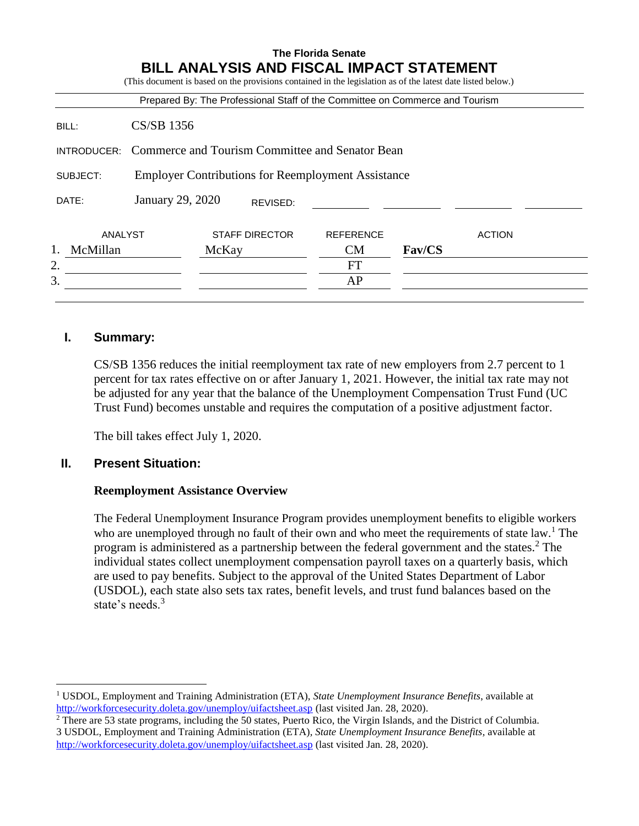|                |                                                           |       |                       | <b>BILL ANALYSIS AND FISCAL IMPACT STATEMENT</b><br>(This document is based on the provisions contained in the legislation as of the latest date listed below.) |               |               |
|----------------|-----------------------------------------------------------|-------|-----------------------|-----------------------------------------------------------------------------------------------------------------------------------------------------------------|---------------|---------------|
|                |                                                           |       |                       | Prepared By: The Professional Staff of the Committee on Commerce and Tourism                                                                                    |               |               |
| BILL:          | CS/SB 1356                                                |       |                       |                                                                                                                                                                 |               |               |
| INTRODUCER:    | Commerce and Tourism Committee and Senator Bean           |       |                       |                                                                                                                                                                 |               |               |
| SUBJECT:       | <b>Employer Contributions for Reemployment Assistance</b> |       |                       |                                                                                                                                                                 |               |               |
| DATE:          | January 29, 2020                                          |       | REVISED:              |                                                                                                                                                                 |               |               |
| ANALYST        |                                                           |       | <b>STAFF DIRECTOR</b> | <b>REFERENCE</b>                                                                                                                                                |               | <b>ACTION</b> |
| 1.<br>McMillan |                                                           | McKay |                       | <b>CM</b>                                                                                                                                                       | <b>Fav/CS</b> |               |
| 2.             |                                                           |       |                       | <b>FT</b>                                                                                                                                                       |               |               |
| 3.             |                                                           |       |                       | AP                                                                                                                                                              |               |               |

# **I. Summary:**

CS/SB 1356 reduces the initial reemployment tax rate of new employers from 2.7 percent to 1 percent for tax rates effective on or after January 1, 2021. However, the initial tax rate may not be adjusted for any year that the balance of the Unemployment Compensation Trust Fund (UC Trust Fund) becomes unstable and requires the computation of a positive adjustment factor.

The bill takes effect July 1, 2020.

### **II. Present Situation:**

 $\overline{a}$ 

### **Reemployment Assistance Overview**

The Federal Unemployment Insurance Program provides unemployment benefits to eligible workers who are unemployed through no fault of their own and who meet the requirements of state law.<sup>1</sup> The program is administered as a partnership between the federal government and the states.<sup>2</sup> The individual states collect unemployment compensation payroll taxes on a quarterly basis, which are used to pay benefits. Subject to the approval of the United States Department of Labor (USDOL), each state also sets tax rates, benefit levels, and trust fund balances based on the state's needs.<sup>3</sup>

<sup>1</sup> USDOL, Employment and Training Administration (ETA), *State Unemployment Insurance Benefits*, available at <http://workforcesecurity.doleta.gov/unemploy/uifactsheet.asp> (last visited Jan. 28, 2020).

<sup>2</sup> There are 53 state programs, including the 50 states, Puerto Rico, the Virgin Islands, and the District of Columbia. 3 USDOL, Employment and Training Administration (ETA)*, State Unemployment Insurance Benefits,* available at <http://workforcesecurity.doleta.gov/unemploy/uifactsheet.asp> [\(](http://workforcesecurity.doleta.gov/unemploy/uifactsheet.asp)last visited Jan. 28, 2020).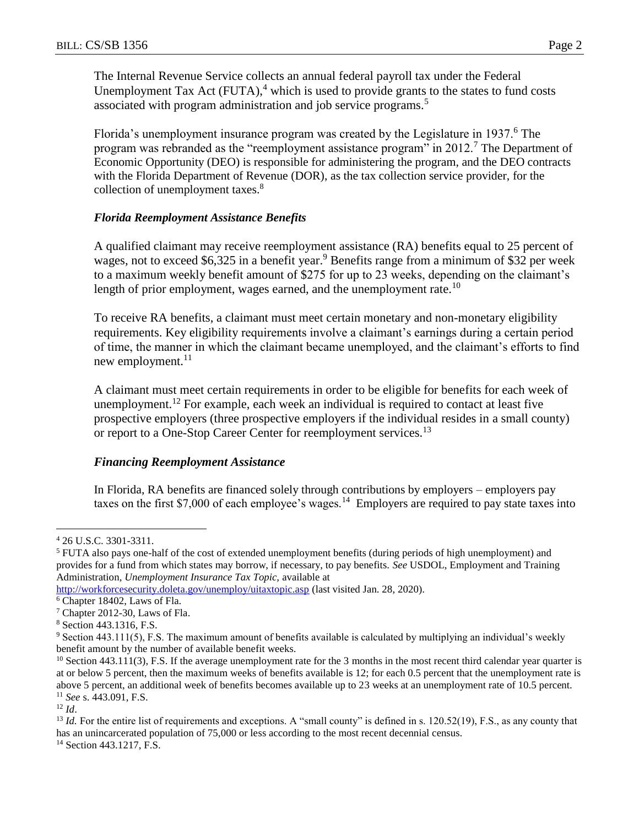The Internal Revenue Service collects an annual federal payroll tax under the Federal Unemployment Tax Act  $(FUTA)$ ,<sup>4</sup> which is used to provide grants to the states to fund costs associated with program administration and job service programs.<sup>5</sup>

Florida's unemployment insurance program was created by the Legislature in 1937.<sup>6</sup> The program was rebranded as the "reemployment assistance program" in 2012.<sup>7</sup> The Department of Economic Opportunity (DEO) is responsible for administering the program, and the DEO contracts with the Florida Department of Revenue (DOR), as the tax collection service provider, for the collection of unemployment taxes.<sup>8</sup>

### *Florida Reemployment Assistance Benefits*

A qualified claimant may receive reemployment assistance (RA) benefits equal to 25 percent of wages, not to exceed \$6,325 in a benefit year.<sup>9</sup> Benefits range from a minimum of \$32 per week to a maximum weekly benefit amount of \$275 for up to 23 weeks, depending on the claimant's length of prior employment, wages earned, and the unemployment rate.<sup>10</sup>

To receive RA benefits, a claimant must meet certain monetary and non-monetary eligibility requirements. Key eligibility requirements involve a claimant's earnings during a certain period of time, the manner in which the claimant became unemployed, and the claimant's efforts to find new employment. $11$ 

A claimant must meet certain requirements in order to be eligible for benefits for each week of unemployment.<sup>12</sup> For example, each week an individual is required to contact at least five prospective employers (three prospective employers if the individual resides in a small county) or report to a One-Stop Career Center for reemployment services.<sup>13</sup>

# *Financing Reemployment Assistance*

In Florida, RA benefits are financed solely through contributions by employers – employers pay taxes on the first \$7,000 of each employee's wages.<sup>14</sup> Employers are required to pay state taxes into

 $12 \, Id.$ 

 $\overline{a}$ 

<sup>13</sup> *Id.* For the entire list of requirements and exceptions. A "small county" is defined in s. 120.52(19), F.S., as any county that has an unincarcerated population of 75,000 or less according to the most recent decennial census.

<sup>14</sup> Section 443.1217, F.S.

<sup>4</sup> 26 U.S.C. 3301-3311.

<sup>5</sup> FUTA also pays one-half of the cost of extended unemployment benefits (during periods of high unemployment) and provides for a fund from which states may borrow, if necessary, to pay benefits. *See* USDOL, Employment and Training Administration*, Unemployment Insurance Tax Topic,* available at

<http://workforcesecurity.doleta.gov/unemploy/uitaxtopic.asp> (last visited Jan. 28, 2020).

<sup>6</sup> Chapter 18402, Laws of Fla.

<sup>7</sup> Chapter 2012-30, Laws of Fla.

<sup>8</sup> Section 443.1316, F.S.

<sup>9</sup> Section 443.111(5), F.S. The maximum amount of benefits available is calculated by multiplying an individual's weekly benefit amount by the number of available benefit weeks.

 $10$  Section 443.111(3), F.S. If the average unemployment rate for the 3 months in the most recent third calendar year quarter is at or below 5 percent, then the maximum weeks of benefits available is 12; for each 0.5 percent that the unemployment rate is above 5 percent, an additional week of benefits becomes available up to 23 weeks at an unemployment rate of 10.5 percent. <sup>11</sup> *See* s. 443.091, F.S.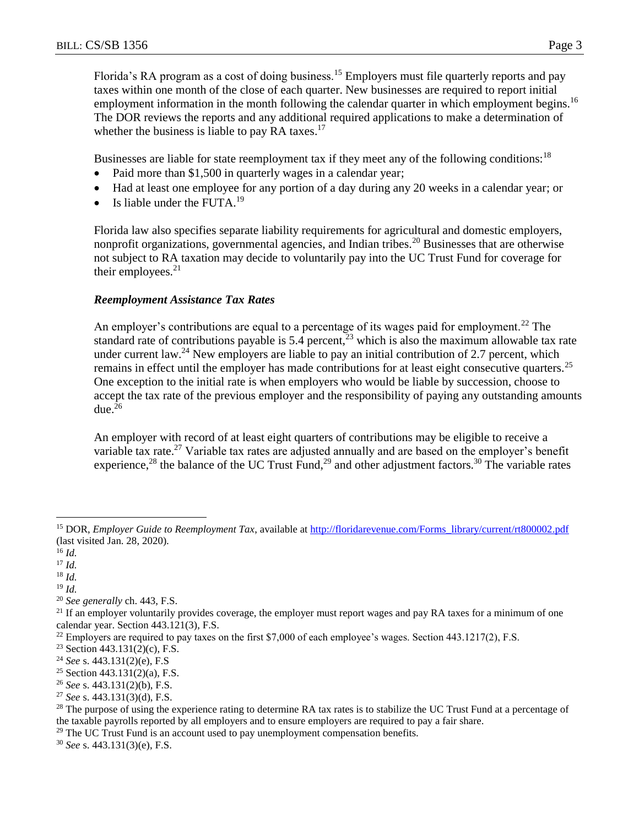Florida's RA program as a cost of doing business.<sup>15</sup> Employers must file quarterly reports and pay taxes within one month of the close of each quarter. New businesses are required to report initial employment information in the month following the calendar quarter in which employment begins.<sup>16</sup> The DOR reviews the reports and any additional required applications to make a determination of whether the business is liable to pay RA taxes. $17$ 

Businesses are liable for state reemployment tax if they meet any of the following conditions:<sup>18</sup>

- Paid more than \$1,500 in quarterly wages in a calendar year;
- Had at least one employee for any portion of a day during any 20 weeks in a calendar year; or
- $\bullet$  Is liable under the FUTA.<sup>19</sup>

Florida law also specifies separate liability requirements for agricultural and domestic employers, nonprofit organizations, governmental agencies, and Indian tribes.<sup>20</sup> Businesses that are otherwise not subject to RA taxation may decide to voluntarily pay into the UC Trust Fund for coverage for their employees. $21$ 

### *Reemployment Assistance Tax Rates*

An employer's contributions are equal to a percentage of its wages paid for employment.<sup>22</sup> The standard rate of contributions payable is 5.4 percent,  $\frac{3}{2}$  which is also the maximum allowable tax rate under current law.<sup>24</sup> New employers are liable to pay an initial contribution of 2.7 percent, which remains in effect until the employer has made contributions for at least eight consecutive quarters.<sup>25</sup> One exception to the initial rate is when employers who would be liable by succession, choose to accept the tax rate of the previous employer and the responsibility of paying any outstanding amounts due. $26$ 

An employer with record of at least eight quarters of contributions may be eligible to receive a variable tax rate.<sup>27</sup> Variable tax rates are adjusted annually and are based on the employer's benefit experience,<sup>28</sup> the balance of the UC Trust Fund,<sup>29</sup> and other adjustment factors.<sup>30</sup> The variable rates

 $\overline{a}$ 

<sup>19</sup> *Id.*

<sup>30</sup> *See* s. 443.131(3)(e), F.S.

<sup>&</sup>lt;sup>15</sup> DOR, *Employer Guide to Reemployment Tax*, available at http://floridarevenue.com/Forms\_library/current/rt800002.pdf (last visited Jan. 28, 2020).

<sup>16</sup> *Id.*

<sup>17</sup> *Id.*

<sup>18</sup> *Id.*

<sup>20</sup> *See generally* ch. 443, F.S.

 $21$  If an employer voluntarily provides coverage, the employer must report wages and pay RA taxes for a minimum of one calendar year. Section 443.121(3), F.S.

 $22$  Employers are required to pay taxes on the first \$7,000 of each employee's wages. Section 443.1217(2), F.S.

<sup>23</sup> Section 443.131(2)(c), F.S.

<sup>24</sup> *See* s. 443.131(2)(e), F.S

<sup>&</sup>lt;sup>25</sup> Section 443.131(2)(a), F.S.

<sup>26</sup> *See* s. 443.131(2)(b), F.S.

<sup>27</sup> *See* s. 443.131(3)(d), F.S.

<sup>&</sup>lt;sup>28</sup> The purpose of using the experience rating to determine RA tax rates is to stabilize the UC Trust Fund at a percentage of the taxable payrolls reported by all employers and to ensure employers are required to pay a fair share.

 $29$  The UC Trust Fund is an account used to pay unemployment compensation benefits.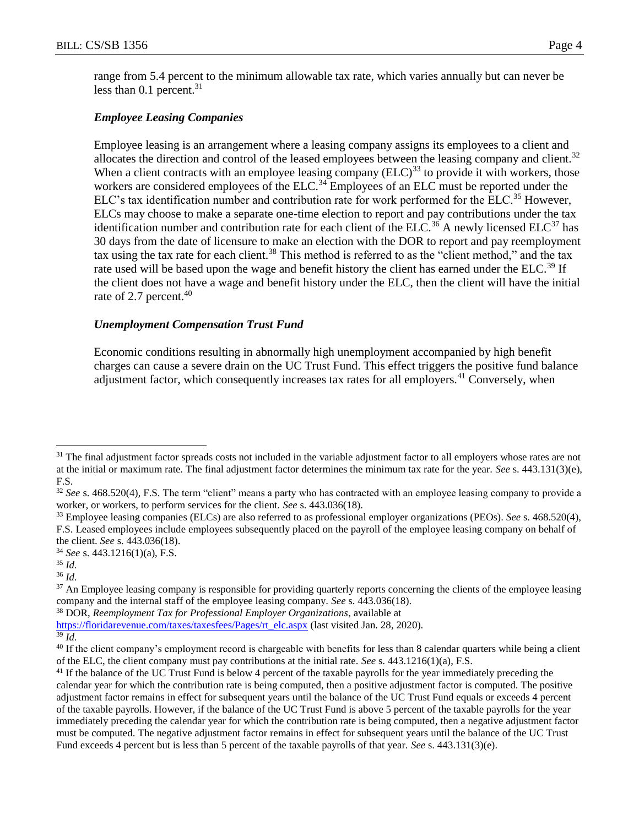range from 5.4 percent to the minimum allowable tax rate, which varies annually but can never be less than  $0.1$  percent.<sup>31</sup>

# *Employee Leasing Companies*

Employee leasing is an arrangement where a leasing company assigns its employees to a client and allocates the direction and control of the leased employees between the leasing company and client.<sup>32</sup> When a client contracts with an employee leasing company  $(ELC)^{33}$  to provide it with workers, those workers are considered employees of the ELC.<sup>34</sup> Employees of an ELC must be reported under the ELC's tax identification number and contribution rate for work performed for the ELC.<sup>35</sup> However, ELCs may choose to make a separate one-time election to report and pay contributions under the tax identification number and contribution rate for each client of the ELC.<sup>36</sup> A newly licensed ELC<sup>37</sup> has 30 days from the date of licensure to make an election with the DOR to report and pay reemployment tax using the tax rate for each client.<sup>38</sup> This method is referred to as the "client method," and the tax rate used will be based upon the wage and benefit history the client has earned under the ELC.<sup>39</sup> If the client does not have a wage and benefit history under the ELC, then the client will have the initial rate of 2.7 percent.<sup>40</sup>

## *Unemployment Compensation Trust Fund*

Economic conditions resulting in abnormally high unemployment accompanied by high benefit charges can cause a severe drain on the UC Trust Fund. This effect triggers the positive fund balance adjustment factor, which consequently increases tax rates for all employers.<sup>41</sup> Conversely, when

 $\overline{a}$ 

<sup>38</sup> DOR, *Reemployment Tax for Professional Employer Organizations*, available at

<sup>&</sup>lt;sup>31</sup> The final adjustment factor spreads costs not included in the variable adjustment factor to all employers whose rates are not at the initial or maximum rate. The final adjustment factor determines the minimum tax rate for the year. *See* s. 443.131(3)(e), F.S.

<sup>32</sup> *See* s. 468.520(4), F.S. The term "client" means a party who has contracted with an employee leasing company to provide a worker, or workers, to perform services for the client. *See* s. 443.036(18).

<sup>33</sup> Employee leasing companies (ELCs) are also referred to as professional employer organizations (PEOs). *See* s. 468.520(4), F.S. Leased employees include employees subsequently placed on the payroll of the employee leasing company on behalf of the client. *See* s. 443.036(18).

<sup>34</sup> *See* s. 443.1216(1)(a), F.S.

<sup>35</sup> *Id.*

<sup>36</sup> *Id.*

<sup>&</sup>lt;sup>37</sup> An Employee leasing company is responsible for providing quarterly reports concerning the clients of the employee leasing company and the internal staff of the employee leasing company. *See* s. 443.036(18).

[https://floridarevenue.com/taxes/taxesfees/Pages/rt\\_elc.aspx](https://floridarevenue.com/taxes/taxesfees/Pages/rt_elc.aspx) (last visited Jan. 28, 2020).

<sup>39</sup> *Id.*

<sup>&</sup>lt;sup>40</sup> If the client company's employment record is chargeable with benefits for less than 8 calendar quarters while being a client of the ELC, the client company must pay contributions at the initial rate. *See* s. 443.1216(1)(a), F.S.

<sup>&</sup>lt;sup>41</sup> If the balance of the UC Trust Fund is below 4 percent of the taxable payrolls for the year immediately preceding the calendar year for which the contribution rate is being computed, then a positive adjustment factor is computed. The positive adjustment factor remains in effect for subsequent years until the balance of the UC Trust Fund equals or exceeds 4 percent of the taxable payrolls. However, if the balance of the UC Trust Fund is above 5 percent of the taxable payrolls for the year immediately preceding the calendar year for which the contribution rate is being computed, then a negative adjustment factor must be computed. The negative adjustment factor remains in effect for subsequent years until the balance of the UC Trust Fund exceeds 4 percent but is less than 5 percent of the taxable payrolls of that year. *See* s. 443.131(3)(e).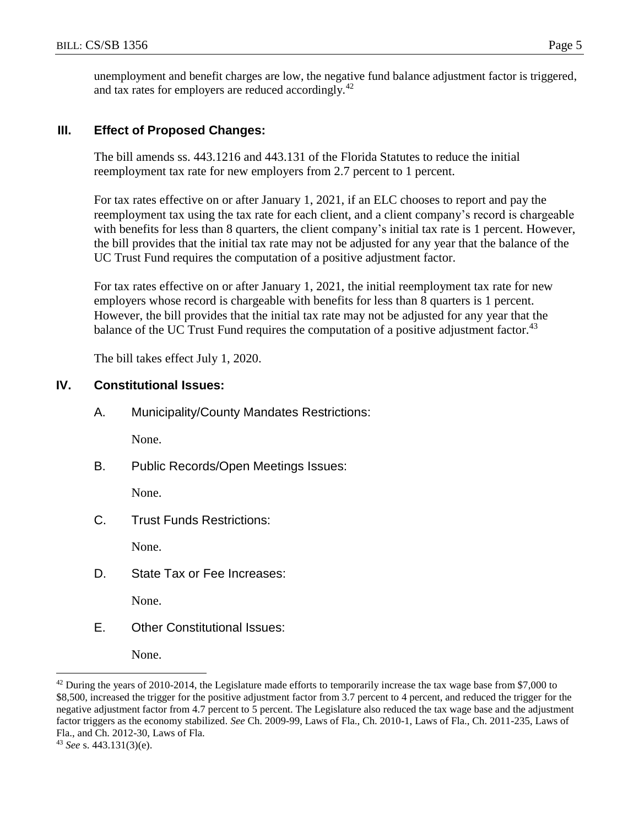unemployment and benefit charges are low, the negative fund balance adjustment factor is triggered, and tax rates for employers are reduced accordingly.<sup>42</sup>

## **III. Effect of Proposed Changes:**

The bill amends ss. 443.1216 and 443.131 of the Florida Statutes to reduce the initial reemployment tax rate for new employers from 2.7 percent to 1 percent.

For tax rates effective on or after January 1, 2021, if an ELC chooses to report and pay the reemployment tax using the tax rate for each client, and a client company's record is chargeable with benefits for less than 8 quarters, the client company's initial tax rate is 1 percent. However, the bill provides that the initial tax rate may not be adjusted for any year that the balance of the UC Trust Fund requires the computation of a positive adjustment factor.

For tax rates effective on or after January 1, 2021, the initial reemployment tax rate for new employers whose record is chargeable with benefits for less than 8 quarters is 1 percent. However, the bill provides that the initial tax rate may not be adjusted for any year that the balance of the UC Trust Fund requires the computation of a positive adjustment factor.<sup>43</sup>

The bill takes effect July 1, 2020.

# **IV. Constitutional Issues:**

A. Municipality/County Mandates Restrictions:

None.

B. Public Records/Open Meetings Issues:

None.

C. Trust Funds Restrictions:

None.

D. State Tax or Fee Increases:

None.

E. Other Constitutional Issues:

None.

 $\overline{a}$ 

 $42$  During the years of 2010-2014, the Legislature made efforts to temporarily increase the tax wage base from \$7,000 to \$8,500, increased the trigger for the positive adjustment factor from 3.7 percent to 4 percent, and reduced the trigger for the negative adjustment factor from 4.7 percent to 5 percent. The Legislature also reduced the tax wage base and the adjustment factor triggers as the economy stabilized. *See* Ch. 2009-99, Laws of Fla., Ch. 2010-1, Laws of Fla., Ch. 2011-235, Laws of Fla., and Ch. 2012-30, Laws of Fla.

<sup>43</sup> *See* s. 443.131(3)(e).